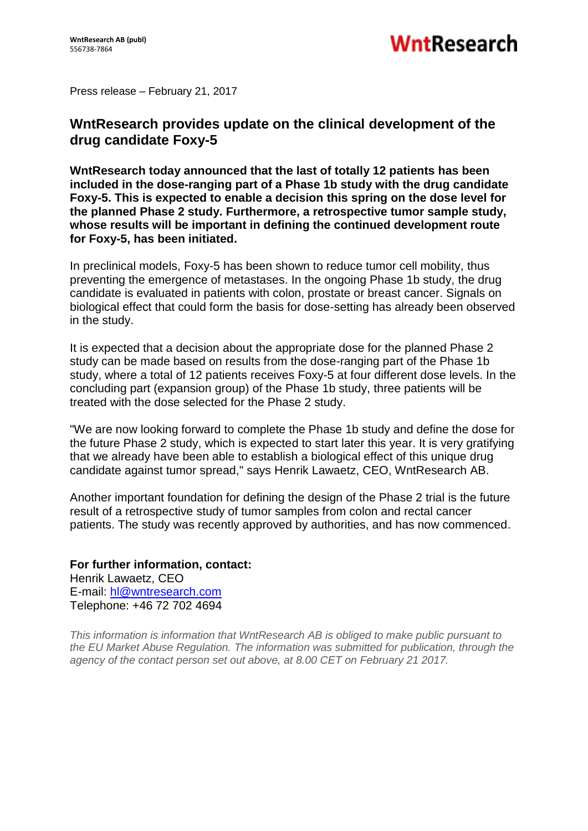Press release – February 21, 2017

## **WntResearch provides update on the clinical development of the drug candidate Foxy-5**

**WntResearch today announced that the last of totally 12 patients has been included in the dose-ranging part of a Phase 1b study with the drug candidate Foxy-5. This is expected to enable a decision this spring on the dose level for the planned Phase 2 study. Furthermore, a retrospective tumor sample study, whose results will be important in defining the continued development route for Foxy-5, has been initiated.**

In preclinical models, Foxy-5 has been shown to reduce tumor cell mobility, thus preventing the emergence of metastases. In the ongoing Phase 1b study, the drug candidate is evaluated in patients with colon, prostate or breast cancer. Signals on biological effect that could form the basis for dose-setting has already been observed in the study.

It is expected that a decision about the appropriate dose for the planned Phase 2 study can be made based on results from the dose-ranging part of the Phase 1b study, where a total of 12 patients receives Foxy-5 at four different dose levels. In the concluding part (expansion group) of the Phase 1b study, three patients will be treated with the dose selected for the Phase 2 study.

"We are now looking forward to complete the Phase 1b study and define the dose for the future Phase 2 study, which is expected to start later this year. It is very gratifying that we already have been able to establish a biological effect of this unique drug candidate against tumor spread," says Henrik Lawaetz, CEO, WntResearch AB.

Another important foundation for defining the design of the Phase 2 trial is the future result of a retrospective study of tumor samples from colon and rectal cancer patients. The study was recently approved by authorities, and has now commenced.

**For further information, contact:** Henrik Lawaetz, CEO E-mail: [hl@wntresearch.com](mailto:hl@wntresearch.com) Telephone: +46 72 702 4694

*This information is information that WntResearch AB is obliged to make public pursuant to the EU Market Abuse Regulation. The information was submitted for publication, through the agency of the contact person set out above, at 8.00 CET on February 21 2017.*